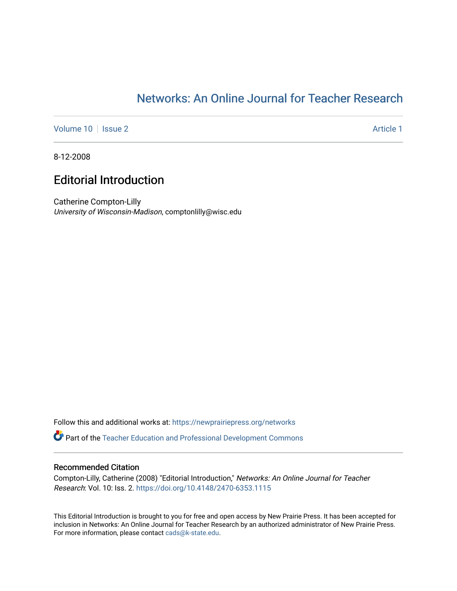## [Networks: An Online Journal for Teacher Research](https://newprairiepress.org/networks)

[Volume 10](https://newprairiepress.org/networks/vol10) | [Issue 2](https://newprairiepress.org/networks/vol10/iss2) Article 1

8-12-2008

## Editorial Introduction

Catherine Compton-Lilly University of Wisconsin-Madison, comptonlilly@wisc.edu

Follow this and additional works at: [https://newprairiepress.org/networks](https://newprairiepress.org/networks?utm_source=newprairiepress.org%2Fnetworks%2Fvol10%2Fiss2%2F1&utm_medium=PDF&utm_campaign=PDFCoverPages)

Part of the [Teacher Education and Professional Development Commons](http://network.bepress.com/hgg/discipline/803?utm_source=newprairiepress.org%2Fnetworks%2Fvol10%2Fiss2%2F1&utm_medium=PDF&utm_campaign=PDFCoverPages) 

## Recommended Citation

Compton-Lilly, Catherine (2008) "Editorial Introduction," Networks: An Online Journal for Teacher Research: Vol. 10: Iss. 2. <https://doi.org/10.4148/2470-6353.1115>

This Editorial Introduction is brought to you for free and open access by New Prairie Press. It has been accepted for inclusion in Networks: An Online Journal for Teacher Research by an authorized administrator of New Prairie Press. For more information, please contact [cads@k-state.edu.](mailto:cads@k-state.edu)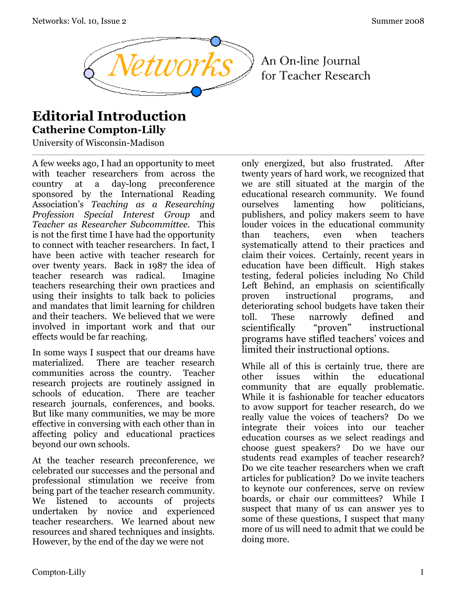

An On-line Journal for Teacher Research

## **Editorial Introduction Catherine Compton-Lilly**

University of Wisconsin-Madison

A few weeks ago, I had an opportunity to meet with teacher researchers from across the country at a day-long preconference sponsored by the International Reading Association's *Teaching as a Researching Profession Special Interest Group* and *Teacher as Researcher Subcommittee*. This is not the first time I have had the opportunity to connect with teacher researchers. In fact, I have been active with teacher research for over twenty years. Back in 1987 the idea of teacher research was radical. Imagine teachers researching their own practices and using their insights to talk back to policies and mandates that limit learning for children and their teachers. We believed that we were involved in important work and that our effects would be far reaching.

In some ways I suspect that our dreams have materialized. There are teacher research communities across the country. Teacher research projects are routinely assigned in schools of education. There are teacher research journals, conferences, and books. But like many communities, we may be more effective in conversing with each other than in affecting policy and educational practices beyond our own schools.

At the teacher research preconference, we celebrated our successes and the personal and professional stimulation we receive from being part of the teacher research community. We listened to accounts of projects undertaken by novice and experienced teacher researchers. We learned about new resources and shared techniques and insights. However, by the end of the day we were not

only energized, but also frustrated. After twenty years of hard work, we recognized that we are still situated at the margin of the educational research community. We found ourselves lamenting how politicians, publishers, and policy makers seem to have louder voices in the educational community than teachers, even when teachers systematically attend to their practices and claim their voices. Certainly, recent years in education have been difficult. High stakes testing, federal policies including No Child Left Behind, an emphasis on scientifically proven instructional programs, and deteriorating school budgets have taken their toll. These narrowly defined and scientifically "proven" instructional programs have stifled teachers' voices and limited their instructional options.

While all of this is certainly true, there are other issues within the educational community that are equally problematic. While it is fashionable for teacher educators to avow support for teacher research, do we really value the voices of teachers? Do we integrate their voices into our teacher education courses as we select readings and choose guest speakers? Do we have our students read examples of teacher research? Do we cite teacher researchers when we craft articles for publication? Do we invite teachers to keynote our conferences, serve on review boards, or chair our committees? While I suspect that many of us can answer yes to some of these questions, I suspect that many more of us will need to admit that we could be doing more.